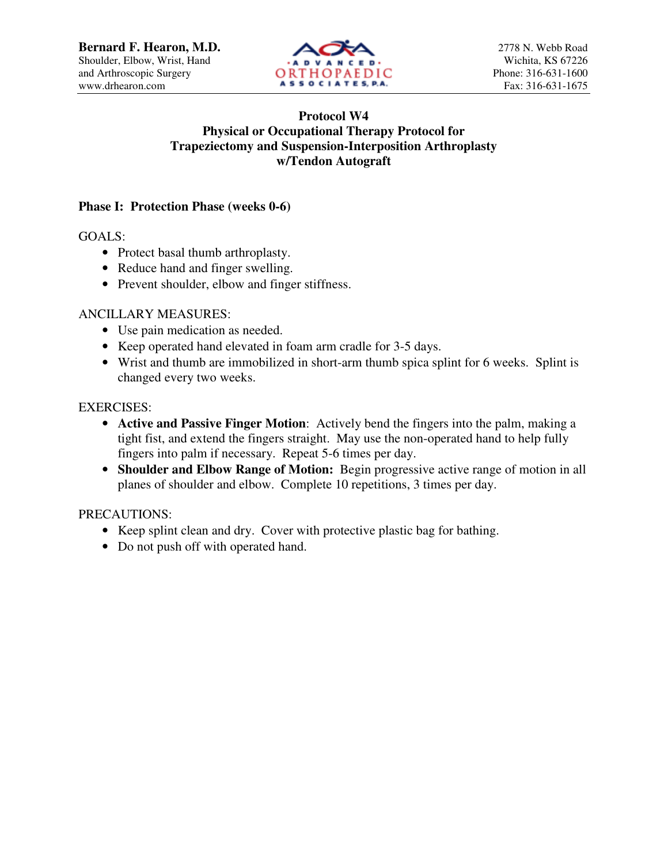

# **Protocol W4 Physical or Occupational Therapy Protocol for Trapeziectomy and Suspension-Interposition Arthroplasty w/Tendon Autograft**

### **Phase I: Protection Phase (weeks 0-6)**

GOALS:

- Protect basal thumb arthroplasty.
- Reduce hand and finger swelling.
- Prevent shoulder, elbow and finger stiffness.

### ANCILLARY MEASURES:

- Use pain medication as needed.
- Keep operated hand elevated in foam arm cradle for 3-5 days.
- Wrist and thumb are immobilized in short-arm thumb spica splint for 6 weeks. Splint is changed every two weeks.

### EXERCISES:

- **Active and Passive Finger Motion**: Actively bend the fingers into the palm, making a tight fist, and extend the fingers straight. May use the non-operated hand to help fully fingers into palm if necessary. Repeat 5-6 times per day.
- **Shoulder and Elbow Range of Motion:** Begin progressive active range of motion in all planes of shoulder and elbow. Complete 10 repetitions, 3 times per day.

# PRECAUTIONS:

- Keep splint clean and dry. Cover with protective plastic bag for bathing.
- Do not push off with operated hand.